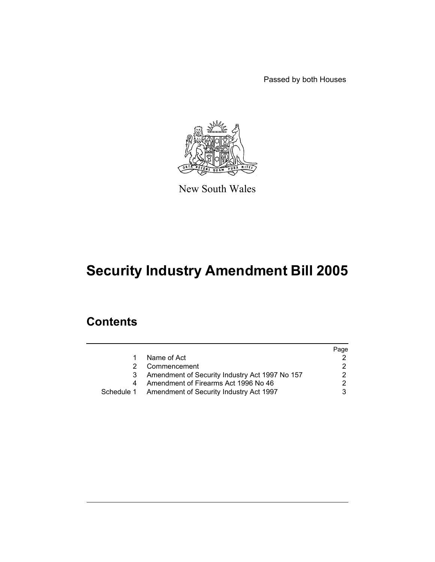Passed by both Houses



New South Wales

# **Security Industry Amendment Bill 2005**

## **Contents**

|   |                                                    | Page |
|---|----------------------------------------------------|------|
|   | Name of Act                                        |      |
|   | Commencement                                       |      |
| 3 | Amendment of Security Industry Act 1997 No 157     |      |
|   | Amendment of Firearms Act 1996 No 46               |      |
|   | Schedule 1 Amendment of Security Industry Act 1997 |      |
|   |                                                    |      |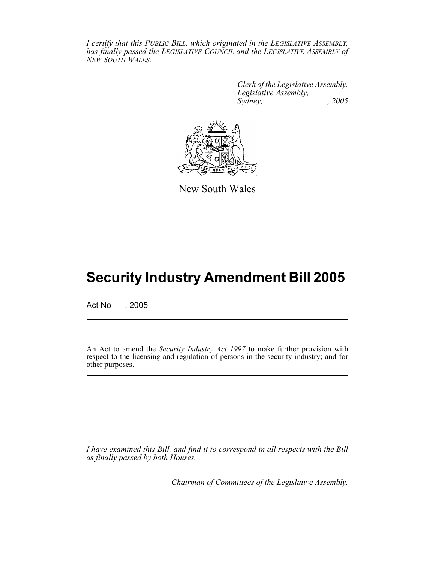*I certify that this PUBLIC BILL, which originated in the LEGISLATIVE ASSEMBLY, has finally passed the LEGISLATIVE COUNCIL and the LEGISLATIVE ASSEMBLY of NEW SOUTH WALES.*

> *Clerk of the Legislative Assembly. Legislative Assembly, Sydney, , 2005*



New South Wales

# **Security Industry Amendment Bill 2005**

Act No , 2005

An Act to amend the *Security Industry Act 1997* to make further provision with respect to the licensing and regulation of persons in the security industry; and for other purposes.

*I have examined this Bill, and find it to correspond in all respects with the Bill as finally passed by both Houses.*

*Chairman of Committees of the Legislative Assembly.*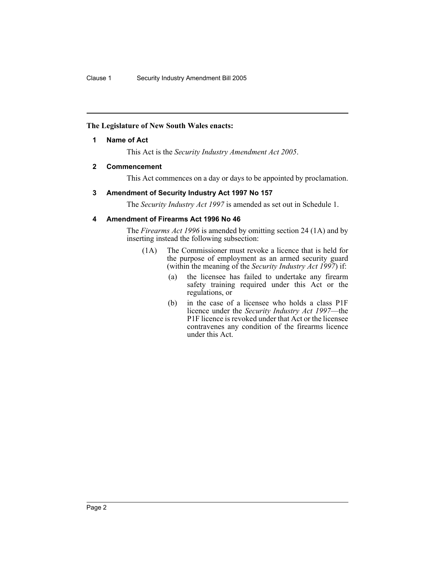## **The Legislature of New South Wales enacts:**

## **1 Name of Act**

This Act is the *Security Industry Amendment Act 2005*.

## **2 Commencement**

This Act commences on a day or days to be appointed by proclamation.

## **3 Amendment of Security Industry Act 1997 No 157**

The *Security Industry Act 1997* is amended as set out in Schedule 1.

## **4 Amendment of Firearms Act 1996 No 46**

The *Firearms Act 1996* is amended by omitting section 24 (1A) and by inserting instead the following subsection:

- (1A) The Commissioner must revoke a licence that is held for the purpose of employment as an armed security guard (within the meaning of the *Security Industry Act 1997*) if:
	- (a) the licensee has failed to undertake any firearm safety training required under this Act or the regulations, or
	- (b) in the case of a licensee who holds a class P1F licence under the *Security Industry Act 1997*—the P1F licence is revoked under that Act or the licensee contravenes any condition of the firearms licence under this Act.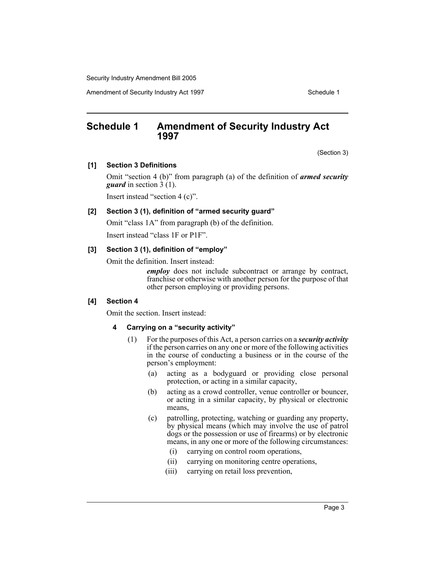Amendment of Security Industry Act 1997 **Schedule 1** Schedule 1

## **Schedule 1 Amendment of Security Industry Act 1997**

(Section 3)

#### **[1] Section 3 Definitions**

Omit "section 4 (b)" from paragraph (a) of the definition of *armed security guard* in section 3 (1).

Insert instead "section 4 (c)".

## **[2] Section 3 (1), definition of "armed security guard"**

Omit "class 1A" from paragraph (b) of the definition.

Insert instead "class 1F or P1F".

### **[3] Section 3 (1), definition of "employ"**

Omit the definition. Insert instead:

*employ* does not include subcontract or arrange by contract, franchise or otherwise with another person for the purpose of that other person employing or providing persons.

#### **[4] Section 4**

Omit the section. Insert instead:

#### **4 Carrying on a "security activity"**

- (1) For the purposes of this Act, a person carries on a *security activity* if the person carries on any one or more of the following activities in the course of conducting a business or in the course of the person's employment:
	- (a) acting as a bodyguard or providing close personal protection, or acting in a similar capacity,
	- (b) acting as a crowd controller, venue controller or bouncer, or acting in a similar capacity, by physical or electronic means,
	- (c) patrolling, protecting, watching or guarding any property, by physical means (which may involve the use of patrol dogs or the possession or use of firearms) or by electronic means, in any one or more of the following circumstances:
		- (i) carrying on control room operations,
		- (ii) carrying on monitoring centre operations,
		- (iii) carrying on retail loss prevention,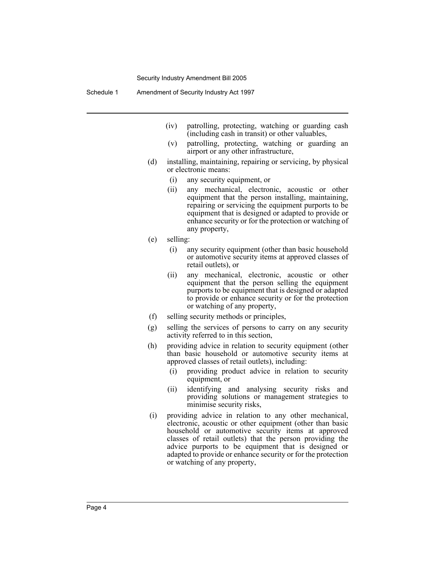- (iv) patrolling, protecting, watching or guarding cash (including cash in transit) or other valuables,
- (v) patrolling, protecting, watching or guarding an airport or any other infrastructure,
- (d) installing, maintaining, repairing or servicing, by physical or electronic means:
	- (i) any security equipment, or
	- (ii) any mechanical, electronic, acoustic or other equipment that the person installing, maintaining, repairing or servicing the equipment purports to be equipment that is designed or adapted to provide or enhance security or for the protection or watching of any property,
- (e) selling:
	- (i) any security equipment (other than basic household or automotive security items at approved classes of retail outlets), or
	- (ii) any mechanical, electronic, acoustic or other equipment that the person selling the equipment purports to be equipment that is designed or adapted to provide or enhance security or for the protection or watching of any property,
- (f) selling security methods or principles,
- (g) selling the services of persons to carry on any security activity referred to in this section,
- (h) providing advice in relation to security equipment (other than basic household or automotive security items at approved classes of retail outlets), including:
	- (i) providing product advice in relation to security equipment, or
	- (ii) identifying and analysing security risks and providing solutions or management strategies to minimise security risks,
- (i) providing advice in relation to any other mechanical, electronic, acoustic or other equipment (other than basic household or automotive security items at approved classes of retail outlets) that the person providing the advice purports to be equipment that is designed or adapted to provide or enhance security or for the protection or watching of any property,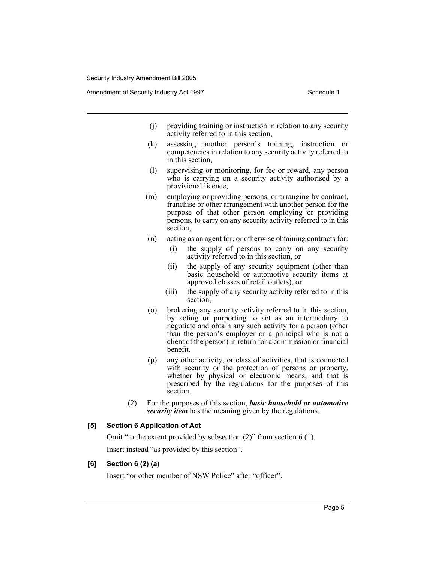- (j) providing training or instruction in relation to any security activity referred to in this section,
- (k) assessing another person's training, instruction or competencies in relation to any security activity referred to in this section,
- (l) supervising or monitoring, for fee or reward, any person who is carrying on a security activity authorised by a provisional licence,
- (m) employing or providing persons, or arranging by contract, franchise or other arrangement with another person for the purpose of that other person employing or providing persons, to carry on any security activity referred to in this section,
- (n) acting as an agent for, or otherwise obtaining contracts for:
	- (i) the supply of persons to carry on any security activity referred to in this section, or
	- (ii) the supply of any security equipment (other than basic household or automotive security items at approved classes of retail outlets), or
	- (iii) the supply of any security activity referred to in this section,
- (o) brokering any security activity referred to in this section, by acting or purporting to act as an intermediary to negotiate and obtain any such activity for a person (other than the person's employer or a principal who is not a client of the person) in return for a commission or financial benefit,
- (p) any other activity, or class of activities, that is connected with security or the protection of persons or property, whether by physical or electronic means, and that is prescribed by the regulations for the purposes of this section.
- (2) For the purposes of this section, *basic household or automotive security item* has the meaning given by the regulations.

#### **[5] Section 6 Application of Act**

Omit "to the extent provided by subsection (2)" from section 6 (1). Insert instead "as provided by this section".

#### **[6] Section 6 (2) (a)**

Insert "or other member of NSW Police" after "officer".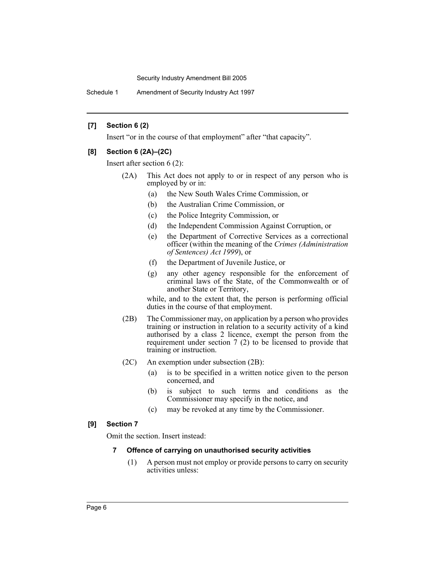Schedule 1 Amendment of Security Industry Act 1997

## **[7] Section 6 (2)**

Insert "or in the course of that employment" after "that capacity".

## **[8] Section 6 (2A)–(2C)**

Insert after section 6 (2):

- (2A) This Act does not apply to or in respect of any person who is employed by or in:
	- (a) the New South Wales Crime Commission, or
	- (b) the Australian Crime Commission, or
	- (c) the Police Integrity Commission, or
	- (d) the Independent Commission Against Corruption, or
	- (e) the Department of Corrective Services as a correctional officer (within the meaning of the *Crimes (Administration of Sentences) Act 1999*), or
	- (f) the Department of Juvenile Justice, or
	- (g) any other agency responsible for the enforcement of criminal laws of the State, of the Commonwealth or of another State or Territory,

while, and to the extent that, the person is performing official duties in the course of that employment.

- (2B) The Commissioner may, on application by a person who provides training or instruction in relation to a security activity of a kind authorised by a class 2 licence, exempt the person from the requirement under section 7 (2) to be licensed to provide that training or instruction.
- (2C) An exemption under subsection (2B):
	- (a) is to be specified in a written notice given to the person concerned, and
	- (b) is subject to such terms and conditions as the Commissioner may specify in the notice, and
	- (c) may be revoked at any time by the Commissioner.

## **[9] Section 7**

Omit the section. Insert instead:

## **7 Offence of carrying on unauthorised security activities**

(1) A person must not employ or provide persons to carry on security activities unless: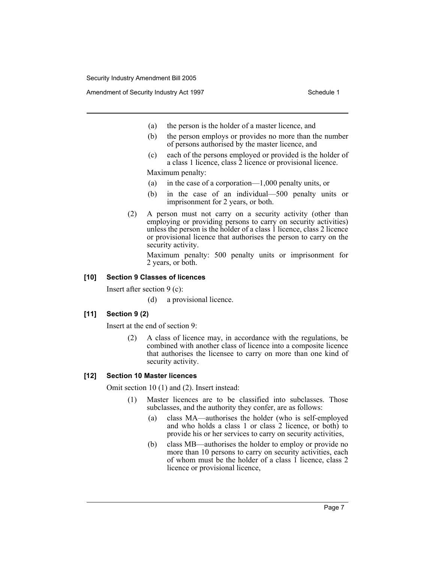Amendment of Security Industry Act 1997 **Schedule 1** Schedule 1

- (a) the person is the holder of a master licence, and
- (b) the person employs or provides no more than the number of persons authorised by the master licence, and
- (c) each of the persons employed or provided is the holder of a class 1 licence, class 2 licence or provisional licence.

Maximum penalty:

- (a) in the case of a corporation—1,000 penalty units, or
- (b) in the case of an individual—500 penalty units or imprisonment for 2 years, or both.
- (2) A person must not carry on a security activity (other than employing or providing persons to carry on security activities) unless the person is the holder of a class 1 licence, class 2 licence or provisional licence that authorises the person to carry on the security activity.

Maximum penalty: 500 penalty units or imprisonment for 2 years, or both.

#### **[10] Section 9 Classes of licences**

Insert after section 9 (c):

(d) a provisional licence.

#### **[11] Section 9 (2)**

Insert at the end of section 9:

(2) A class of licence may, in accordance with the regulations, be combined with another class of licence into a composite licence that authorises the licensee to carry on more than one kind of security activity.

#### **[12] Section 10 Master licences**

Omit section 10 (1) and (2). Insert instead:

- (1) Master licences are to be classified into subclasses. Those subclasses, and the authority they confer, are as follows:
	- (a) class MA—authorises the holder (who is self-employed and who holds a class 1 or class 2 licence, or both) to provide his or her services to carry on security activities,
	- (b) class MB—authorises the holder to employ or provide no more than 10 persons to carry on security activities, each of whom must be the holder of a class 1 licence, class 2 licence or provisional licence,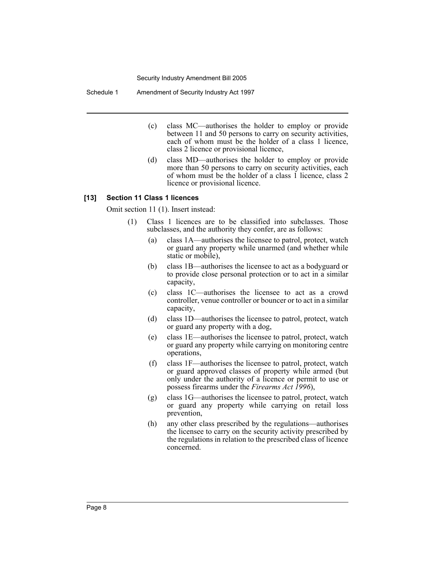Schedule 1 Amendment of Security Industry Act 1997

- (c) class MC—authorises the holder to employ or provide between 11 and 50 persons to carry on security activities, each of whom must be the holder of a class 1 licence, class 2 licence or provisional licence,
- (d) class MD—authorises the holder to employ or provide more than 50 persons to carry on security activities, each of whom must be the holder of a class 1 licence, class 2 licence or provisional licence.

#### **[13] Section 11 Class 1 licences**

Omit section 11 (1). Insert instead:

- (1) Class 1 licences are to be classified into subclasses. Those subclasses, and the authority they confer, are as follows:
	- (a) class 1A—authorises the licensee to patrol, protect, watch or guard any property while unarmed (and whether while static or mobile),
	- (b) class 1B—authorises the licensee to act as a bodyguard or to provide close personal protection or to act in a similar capacity,
	- (c) class 1C—authorises the licensee to act as a crowd controller, venue controller or bouncer or to act in a similar capacity,
	- (d) class 1D—authorises the licensee to patrol, protect, watch or guard any property with a dog,
	- (e) class 1E—authorises the licensee to patrol, protect, watch or guard any property while carrying on monitoring centre operations,
	- (f) class 1F—authorises the licensee to patrol, protect, watch or guard approved classes of property while armed (but only under the authority of a licence or permit to use or possess firearms under the *Firearms Act 1996*),
	- (g) class 1G—authorises the licensee to patrol, protect, watch or guard any property while carrying on retail loss prevention,
	- (h) any other class prescribed by the regulations—authorises the licensee to carry on the security activity prescribed by the regulations in relation to the prescribed class of licence concerned.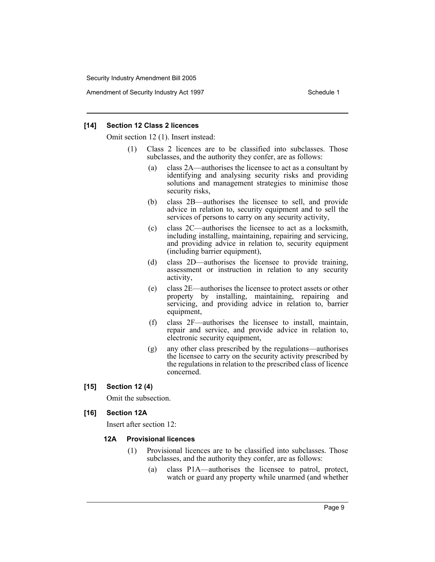Amendment of Security Industry Act 1997 **Schedule 1** Schedule 1

#### **[14] Section 12 Class 2 licences**

Omit section 12 (1). Insert instead:

- (1) Class 2 licences are to be classified into subclasses. Those subclasses, and the authority they confer, are as follows:
	- (a) class 2A—authorises the licensee to act as a consultant by identifying and analysing security risks and providing solutions and management strategies to minimise those security risks,
	- (b) class 2B—authorises the licensee to sell, and provide advice in relation to, security equipment and to sell the services of persons to carry on any security activity,
	- (c) class 2C—authorises the licensee to act as a locksmith, including installing, maintaining, repairing and servicing, and providing advice in relation to, security equipment (including barrier equipment),
	- (d) class 2D—authorises the licensee to provide training, assessment or instruction in relation to any security activity,
	- (e) class 2E—authorises the licensee to protect assets or other property by installing, maintaining, repairing and servicing, and providing advice in relation to, barrier equipment,
	- (f) class 2F—authorises the licensee to install, maintain, repair and service, and provide advice in relation to, electronic security equipment,
	- (g) any other class prescribed by the regulations—authorises the licensee to carry on the security activity prescribed by the regulations in relation to the prescribed class of licence concerned.
- **[15] Section 12 (4)**

Omit the subsection.

#### **[16] Section 12A**

Insert after section 12:

#### **12A Provisional licences**

- (1) Provisional licences are to be classified into subclasses. Those subclasses, and the authority they confer, are as follows:
	- (a) class P1A—authorises the licensee to patrol, protect, watch or guard any property while unarmed (and whether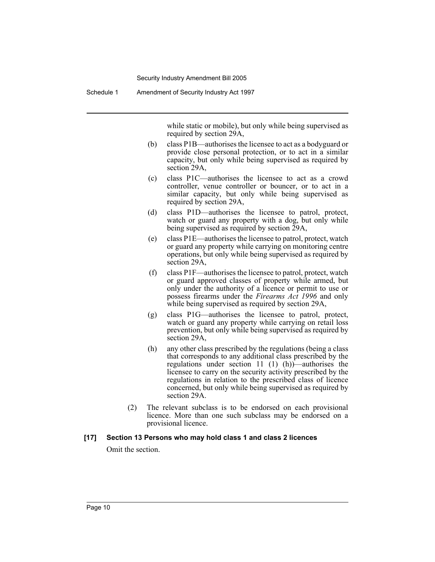Schedule 1 Amendment of Security Industry Act 1997

while static or mobile), but only while being supervised as required by section 29A,

- (b) class P1B—authorises the licensee to act as a bodyguard or provide close personal protection, or to act in a similar capacity, but only while being supervised as required by section 29A,
- (c) class P1C—authorises the licensee to act as a crowd controller, venue controller or bouncer, or to act in a similar capacity, but only while being supervised as required by section 29A,
- (d) class P1D—authorises the licensee to patrol, protect, watch or guard any property with a dog, but only while being supervised as required by section 29A,
- (e) class P1E—authorises the licensee to patrol, protect, watch or guard any property while carrying on monitoring centre operations, but only while being supervised as required by section 29A,
- (f) class P1F—authorises the licensee to patrol, protect, watch or guard approved classes of property while armed, but only under the authority of a licence or permit to use or possess firearms under the *Firearms Act 1996* and only while being supervised as required by section 29A,
- (g) class P1G—authorises the licensee to patrol, protect, watch or guard any property while carrying on retail loss prevention, but only while being supervised as required by section 29A,
- (h) any other class prescribed by the regulations (being a class that corresponds to any additional class prescribed by the regulations under section 11 (1) (h))—authorises the licensee to carry on the security activity prescribed by the regulations in relation to the prescribed class of licence concerned, but only while being supervised as required by section 29A.
- (2) The relevant subclass is to be endorsed on each provisional licence. More than one such subclass may be endorsed on a provisional licence.

#### **[17] Section 13 Persons who may hold class 1 and class 2 licences**

Omit the section.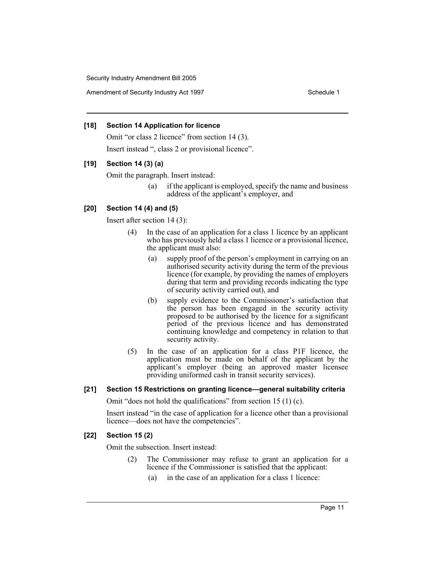Amendment of Security Industry Act 1997 **Schedule 1** Schedule 1

## **[18] Section 14 Application for licence**

Omit "or class 2 licence" from section 14 (3). Insert instead ", class 2 or provisional licence".

## **[19] Section 14 (3) (a)**

Omit the paragraph. Insert instead:

(a) if the applicant is employed, specify the name and business address of the applicant's employer, and

## **[20] Section 14 (4) and (5)**

Insert after section 14 (3):

- (4) In the case of an application for a class 1 licence by an applicant who has previously held a class 1 licence or a provisional licence, the applicant must also:
	- (a) supply proof of the person's employment in carrying on an authorised security activity during the term of the previous licence (for example, by providing the names of employers during that term and providing records indicating the type of security activity carried out), and
	- (b) supply evidence to the Commissioner's satisfaction that the person has been engaged in the security activity proposed to be authorised by the licence for a significant period of the previous licence and has demonstrated continuing knowledge and competency in relation to that security activity.
- (5) In the case of an application for a class P1F licence, the application must be made on behalf of the applicant by the applicant's employer (being an approved master licensee providing uniformed cash in transit security services).

## **[21] Section 15 Restrictions on granting licence—general suitability criteria**

Omit "does not hold the qualifications" from section 15 (1) (c).

Insert instead "in the case of application for a licence other than a provisional licence—does not have the competencies".

## **[22] Section 15 (2)**

Omit the subsection. Insert instead:

- (2) The Commissioner may refuse to grant an application for a licence if the Commissioner is satisfied that the applicant:
	- (a) in the case of an application for a class 1 licence: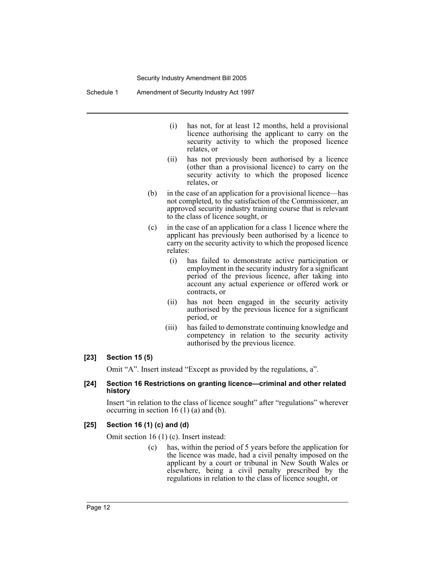Schedule 1 Amendment of Security Industry Act 1997

- (i) has not, for at least 12 months, held a provisional licence authorising the applicant to carry on the security activity to which the proposed licence relates, or
- (ii) has not previously been authorised by a licence (other than a provisional licence) to carry on the security activity to which the proposed licence relates, or
- (b) in the case of an application for a provisional licence—has not completed, to the satisfaction of the Commissioner, an approved security industry training course that is relevant to the class of licence sought, or
- (c) in the case of an application for a class 1 licence where the applicant has previously been authorised by a licence to carry on the security activity to which the proposed licence relates:
	- (i) has failed to demonstrate active participation or employment in the security industry for a significant period of the previous licence, after taking into account any actual experience or offered work or contracts, or
	- (ii) has not been engaged in the security activity authorised by the previous licence for a significant period, or
	- (iii) has failed to demonstrate continuing knowledge and competency in relation to the security activity authorised by the previous licence.

#### **[23] Section 15 (5)**

Omit "A". Insert instead "Except as provided by the regulations, a".

#### **[24] Section 16 Restrictions on granting licence—criminal and other related history**

Insert "in relation to the class of licence sought" after "regulations" wherever occurring in section 16  $(1)$  (a) and (b).

#### **[25] Section 16 (1) (c) and (d)**

Omit section 16 (1) (c). Insert instead:

(c) has, within the period of 5 years before the application for the licence was made, had a civil penalty imposed on the applicant by a court or tribunal in New South Wales or elsewhere, being a civil penalty prescribed by the regulations in relation to the class of licence sought, or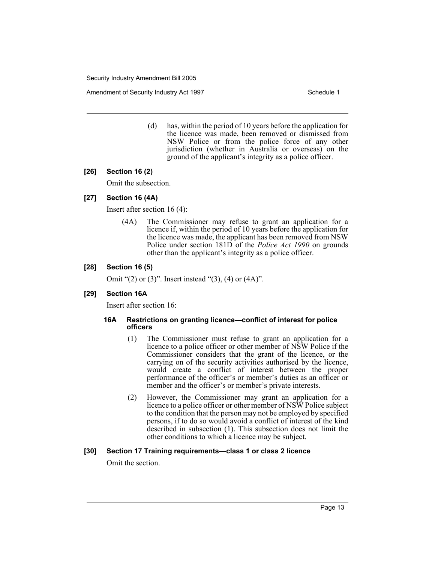Amendment of Security Industry Act 1997 **Schedule 1** Schedule 1

(d) has, within the period of 10 years before the application for the licence was made, been removed or dismissed from NSW Police or from the police force of any other jurisdiction (whether in Australia or overseas) on the ground of the applicant's integrity as a police officer.

## **[26] Section 16 (2)**

Omit the subsection.

## **[27] Section 16 (4A)**

Insert after section 16 (4):

(4A) The Commissioner may refuse to grant an application for a licence if, within the period of 10 years before the application for the licence was made, the applicant has been removed from NSW Police under section 181D of the *Police Act 1990* on grounds other than the applicant's integrity as a police officer.

## **[28] Section 16 (5)**

Omit "(2) or (3)". Insert instead "(3), (4) or (4A)".

#### **[29] Section 16A**

Insert after section 16:

#### **16A Restrictions on granting licence—conflict of interest for police officers**

- (1) The Commissioner must refuse to grant an application for a licence to a police officer or other member of NSW Police if the Commissioner considers that the grant of the licence, or the carrying on of the security activities authorised by the licence, would create a conflict of interest between the proper performance of the officer's or member's duties as an officer or member and the officer's or member's private interests.
- (2) However, the Commissioner may grant an application for a licence to a police officer or other member of NSW Police subject to the condition that the person may not be employed by specified persons, if to do so would avoid a conflict of interest of the kind described in subsection (1). This subsection does not limit the other conditions to which a licence may be subject.

#### **[30] Section 17 Training requirements—class 1 or class 2 licence**

Omit the section.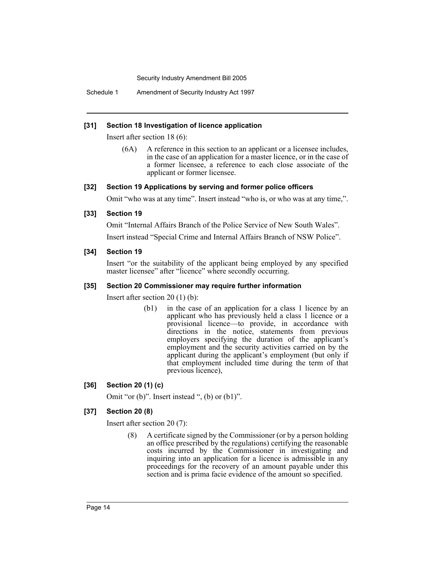Schedule 1 Amendment of Security Industry Act 1997

#### **[31] Section 18 Investigation of licence application**

Insert after section 18 (6):

(6A) A reference in this section to an applicant or a licensee includes, in the case of an application for a master licence, or in the case of a former licensee, a reference to each close associate of the applicant or former licensee.

#### **[32] Section 19 Applications by serving and former police officers**

Omit "who was at any time". Insert instead "who is, or who was at any time,".

#### **[33] Section 19**

Omit "Internal Affairs Branch of the Police Service of New South Wales".

Insert instead "Special Crime and Internal Affairs Branch of NSW Police".

#### **[34] Section 19**

Insert "or the suitability of the applicant being employed by any specified master licensee" after "licence" where secondly occurring.

#### **[35] Section 20 Commissioner may require further information**

Insert after section 20 (1) (b):

(b1) in the case of an application for a class 1 licence by an applicant who has previously held a class 1 licence or a provisional licence—to provide, in accordance with directions in the notice, statements from previous employers specifying the duration of the applicant's employment and the security activities carried on by the applicant during the applicant's employment (but only if that employment included time during the term of that previous licence),

#### **[36] Section 20 (1) (c)**

Omit "or (b)". Insert instead ", (b) or (b1)".

#### **[37] Section 20 (8)**

Insert after section 20 (7):

(8) A certificate signed by the Commissioner (or by a person holding an office prescribed by the regulations) certifying the reasonable costs incurred by the Commissioner in investigating and inquiring into an application for a licence is admissible in any proceedings for the recovery of an amount payable under this section and is prima facie evidence of the amount so specified.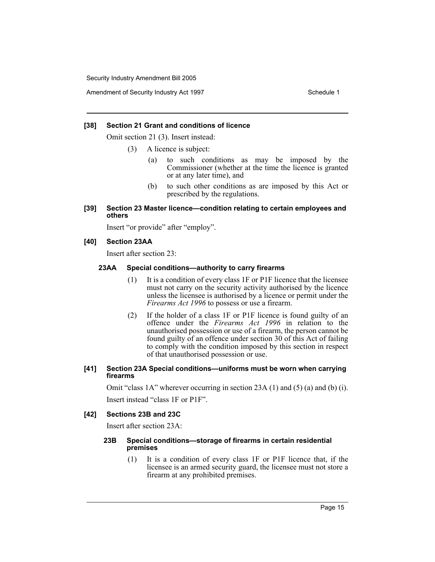Amendment of Security Industry Act 1997 **Schedule 1** Schedule 1

### **[38] Section 21 Grant and conditions of licence**

Omit section 21 (3). Insert instead:

(3) A licence is subject:

- (a) to such conditions as may be imposed by the Commissioner (whether at the time the licence is granted or at any later time), and
- (b) to such other conditions as are imposed by this Act or prescribed by the regulations.

#### **[39] Section 23 Master licence—condition relating to certain employees and others**

Insert "or provide" after "employ".

## **[40] Section 23AA**

Insert after section 23:

## **23AA Special conditions—authority to carry firearms**

- (1) It is a condition of every class 1F or P1F licence that the licensee must not carry on the security activity authorised by the licence unless the licensee is authorised by a licence or permit under the *Firearms Act 1996* to possess or use a firearm.
- (2) If the holder of a class 1F or P1F licence is found guilty of an offence under the *Firearms Act 1996* in relation to the unauthorised possession or use of a firearm, the person cannot be found guilty of an offence under section 30 of this Act of failing to comply with the condition imposed by this section in respect of that unauthorised possession or use.

#### **[41] Section 23A Special conditions—uniforms must be worn when carrying firearms**

Omit "class 1A" wherever occurring in section 23A (1) and (5) (a) and (b) (i). Insert instead "class 1F or P1F".

#### **[42] Sections 23B and 23C**

Insert after section 23A:

#### **23B Special conditions—storage of firearms in certain residential premises**

(1) It is a condition of every class 1F or P1F licence that, if the licensee is an armed security guard, the licensee must not store a firearm at any prohibited premises.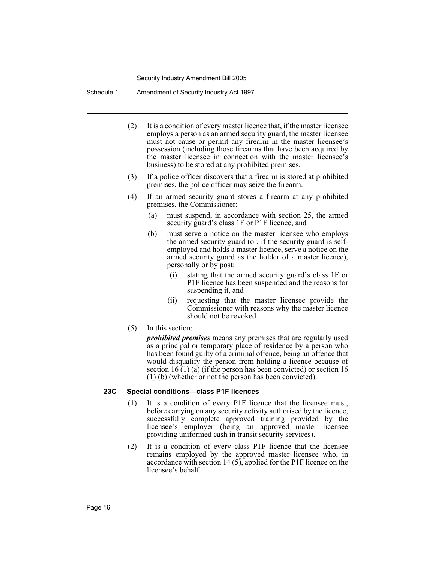Schedule 1 Amendment of Security Industry Act 1997

- (2) It is a condition of every master licence that, if the master licensee employs a person as an armed security guard, the master licensee must not cause or permit any firearm in the master licensee's possession (including those firearms that have been acquired by the master licensee in connection with the master licensee's business) to be stored at any prohibited premises.
- (3) If a police officer discovers that a firearm is stored at prohibited premises, the police officer may seize the firearm.
- (4) If an armed security guard stores a firearm at any prohibited premises, the Commissioner:
	- (a) must suspend, in accordance with section 25, the armed security guard's class 1F or P1F licence, and
	- (b) must serve a notice on the master licensee who employs the armed security guard (or, if the security guard is selfemployed and holds a master licence, serve a notice on the armed security guard as the holder of a master licence), personally or by post:
		- (i) stating that the armed security guard's class 1F or P1F licence has been suspended and the reasons for suspending it, and
		- (ii) requesting that the master licensee provide the Commissioner with reasons why the master licence should not be revoked.
- (5) In this section:

*prohibited premises* means any premises that are regularly used as a principal or temporary place of residence by a person who has been found guilty of a criminal offence, being an offence that would disqualify the person from holding a licence because of section  $16(1)$  (a) (if the person has been convicted) or section 16 (1) (b) (whether or not the person has been convicted).

#### **23C Special conditions—class P1F licences**

- (1) It is a condition of every P1F licence that the licensee must, before carrying on any security activity authorised by the licence, successfully complete approved training provided by the licensee's employer (being an approved master licensee providing uniformed cash in transit security services).
- (2) It is a condition of every class P1F licence that the licensee remains employed by the approved master licensee who, in accordance with section 14 (5), applied for the P1F licence on the licensee's behalf.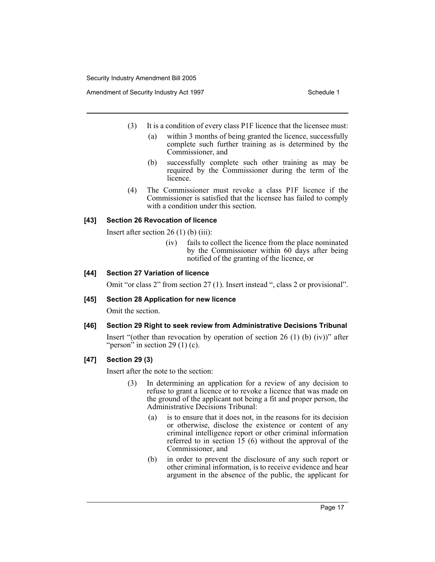Amendment of Security Industry Act 1997 **Schedule 1** Schedule 1

- (3) It is a condition of every class P1F licence that the licensee must:
	- (a) within 3 months of being granted the licence, successfully complete such further training as is determined by the Commissioner, and
	- (b) successfully complete such other training as may be required by the Commissioner during the term of the licence.
- (4) The Commissioner must revoke a class P1F licence if the Commissioner is satisfied that the licensee has failed to comply with a condition under this section.

## **[43] Section 26 Revocation of licence**

Insert after section  $26(1)$  (b) (iii):

(iv) fails to collect the licence from the place nominated by the Commissioner within 60 days after being notified of the granting of the licence, or

## **[44] Section 27 Variation of licence**

Omit "or class 2" from section 27 (1). Insert instead ", class 2 or provisional".

#### **[45] Section 28 Application for new licence**

Omit the section.

## **[46] Section 29 Right to seek review from Administrative Decisions Tribunal**

Insert "(other than revocation by operation of section 26 (1) (b)  $(iv)$ " after "person" in section 29 (1) (c).

## **[47] Section 29 (3)**

Insert after the note to the section:

- (3) In determining an application for a review of any decision to refuse to grant a licence or to revoke a licence that was made on the ground of the applicant not being a fit and proper person, the Administrative Decisions Tribunal:
	- (a) is to ensure that it does not, in the reasons for its decision or otherwise, disclose the existence or content of any criminal intelligence report or other criminal information referred to in section 15 (6) without the approval of the Commissioner, and
	- (b) in order to prevent the disclosure of any such report or other criminal information, is to receive evidence and hear argument in the absence of the public, the applicant for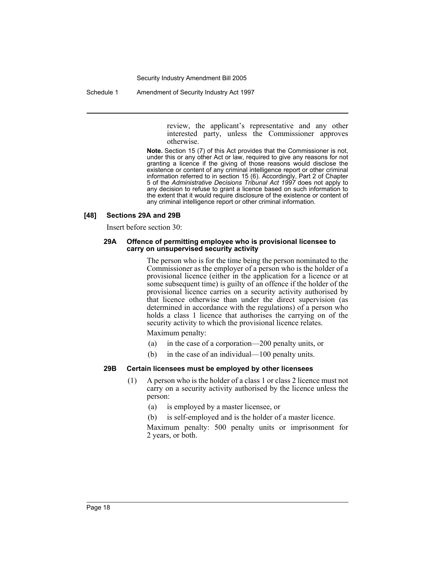Schedule 1 Amendment of Security Industry Act 1997

review, the applicant's representative and any other interested party, unless the Commissioner approves otherwise.

**Note.** Section 15 (7) of this Act provides that the Commissioner is not, under this or any other Act or law, required to give any reasons for not granting a licence if the giving of those reasons would disclose the existence or content of any criminal intelligence report or other criminal information referred to in section 15 (6). Accordingly, Part 2 of Chapter 5 of the *Administrative Decisions Tribunal Act 1997* does not apply to any decision to refuse to grant a licence based on such information to the extent that it would require disclosure of the existence or content of any criminal intelligence report or other criminal information.

#### **[48] Sections 29A and 29B**

Insert before section 30:

#### **29A Offence of permitting employee who is provisional licensee to carry on unsupervised security activity**

The person who is for the time being the person nominated to the Commissioner as the employer of a person who is the holder of a provisional licence (either in the application for a licence or at some subsequent time) is guilty of an offence if the holder of the provisional licence carries on a security activity authorised by that licence otherwise than under the direct supervision (as determined in accordance with the regulations) of a person who holds a class 1 licence that authorises the carrying on of the security activity to which the provisional licence relates.

Maximum penalty:

- (a) in the case of a corporation—200 penalty units, or
- (b) in the case of an individual—100 penalty units.

## **29B Certain licensees must be employed by other licensees**

- (1) A person who is the holder of a class 1 or class 2 licence must not carry on a security activity authorised by the licence unless the person:
	- (a) is employed by a master licensee, or
	- (b) is self-employed and is the holder of a master licence.

Maximum penalty: 500 penalty units or imprisonment for 2 years, or both.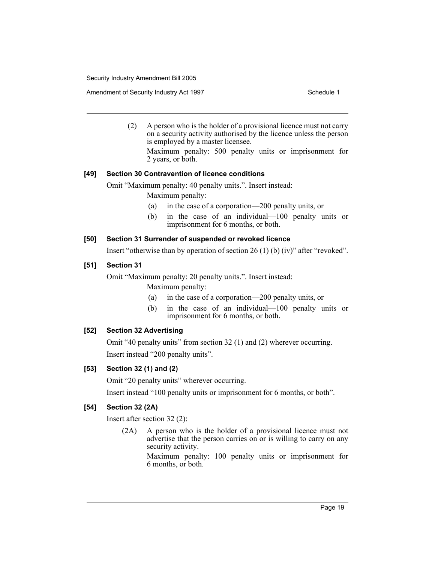Amendment of Security Industry Act 1997 **Schedule 1** Schedule 1

(2) A person who is the holder of a provisional licence must not carry on a security activity authorised by the licence unless the person is employed by a master licensee.

Maximum penalty: 500 penalty units or imprisonment for 2 years, or both.

## **[49] Section 30 Contravention of licence conditions**

Omit "Maximum penalty: 40 penalty units.". Insert instead:

Maximum penalty:

- (a) in the case of a corporation—200 penalty units, or
- (b) in the case of an individual—100 penalty units or imprisonment for 6 months, or both.

## **[50] Section 31 Surrender of suspended or revoked licence**

Insert "otherwise than by operation of section 26 (1) (b) (iv)" after "revoked".

## **[51] Section 31**

Omit "Maximum penalty: 20 penalty units.". Insert instead: Maximum penalty:

- (a) in the case of a corporation—200 penalty units, or
- (b) in the case of an individual—100 penalty units or imprisonment for 6 months, or both.

## **[52] Section 32 Advertising**

Omit "40 penalty units" from section 32 (1) and (2) wherever occurring. Insert instead "200 penalty units".

## **[53] Section 32 (1) and (2)**

Omit "20 penalty units" wherever occurring.

Insert instead "100 penalty units or imprisonment for 6 months, or both".

## **[54] Section 32 (2A)**

Insert after section 32 (2):

(2A) A person who is the holder of a provisional licence must not advertise that the person carries on or is willing to carry on any security activity.

> Maximum penalty: 100 penalty units or imprisonment for 6 months, or both.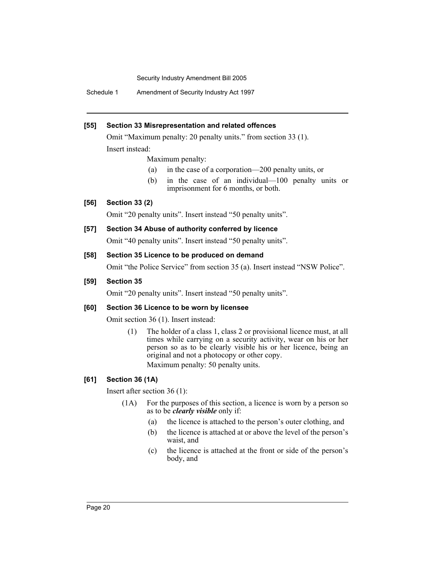Schedule 1 Amendment of Security Industry Act 1997

## **[55] Section 33 Misrepresentation and related offences**

Omit "Maximum penalty: 20 penalty units." from section 33 (1). Insert instead:

Maximum penalty:

- (a) in the case of a corporation—200 penalty units, or
- (b) in the case of an individual—100 penalty units or imprisonment for 6 months, or both.

## **[56] Section 33 (2)**

Omit "20 penalty units". Insert instead "50 penalty units".

## **[57] Section 34 Abuse of authority conferred by licence**

Omit "40 penalty units". Insert instead "50 penalty units".

## **[58] Section 35 Licence to be produced on demand**

Omit "the Police Service" from section 35 (a). Insert instead "NSW Police".

## **[59] Section 35**

Omit "20 penalty units". Insert instead "50 penalty units".

## **[60] Section 36 Licence to be worn by licensee**

Omit section 36 (1). Insert instead:

(1) The holder of a class 1, class 2 or provisional licence must, at all times while carrying on a security activity, wear on his or her person so as to be clearly visible his or her licence, being an original and not a photocopy or other copy. Maximum penalty: 50 penalty units.

## **[61] Section 36 (1A)**

Insert after section 36 (1):

- (1A) For the purposes of this section, a licence is worn by a person so as to be *clearly visible* only if:
	- (a) the licence is attached to the person's outer clothing, and
	- (b) the licence is attached at or above the level of the person's waist, and
	- (c) the licence is attached at the front or side of the person's body, and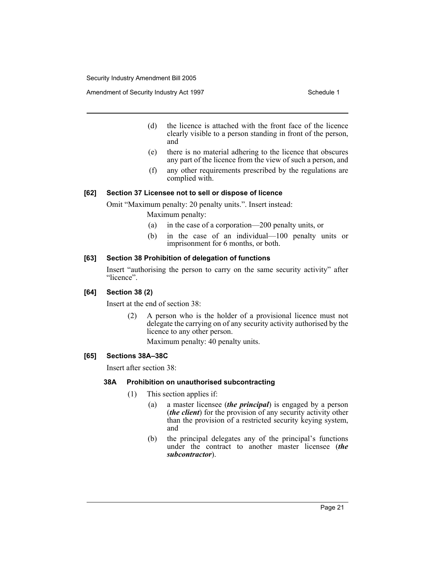Amendment of Security Industry Act 1997 **Schedule 1** Schedule 1

- (d) the licence is attached with the front face of the licence clearly visible to a person standing in front of the person, and
- (e) there is no material adhering to the licence that obscures any part of the licence from the view of such a person, and
- (f) any other requirements prescribed by the regulations are complied with.

## **[62] Section 37 Licensee not to sell or dispose of licence**

Omit "Maximum penalty: 20 penalty units.". Insert instead:

Maximum penalty:

- (a) in the case of a corporation—200 penalty units, or
- (b) in the case of an individual—100 penalty units or imprisonment for 6 months, or both.

## **[63] Section 38 Prohibition of delegation of functions**

Insert "authorising the person to carry on the same security activity" after "licence".

## **[64] Section 38 (2)**

Insert at the end of section 38:

(2) A person who is the holder of a provisional licence must not delegate the carrying on of any security activity authorised by the licence to any other person.

Maximum penalty: 40 penalty units.

## **[65] Sections 38A–38C**

Insert after section 38:

## **38A Prohibition on unauthorised subcontracting**

- (1) This section applies if:
	- (a) a master licensee (*the principal*) is engaged by a person (*the client*) for the provision of any security activity other than the provision of a restricted security keying system, and
	- (b) the principal delegates any of the principal's functions under the contract to another master licensee (*the subcontractor*).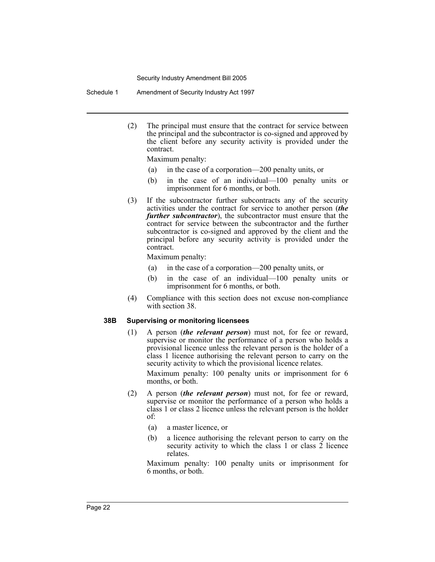Schedule 1 Amendment of Security Industry Act 1997

(2) The principal must ensure that the contract for service between the principal and the subcontractor is co-signed and approved by the client before any security activity is provided under the contract.

Maximum penalty:

- (a) in the case of a corporation—200 penalty units, or
- (b) in the case of an individual—100 penalty units or imprisonment for 6 months, or both.
- (3) If the subcontractor further subcontracts any of the security activities under the contract for service to another person (*the further subcontractor*), the subcontractor must ensure that the contract for service between the subcontractor and the further subcontractor is co-signed and approved by the client and the principal before any security activity is provided under the contract.

Maximum penalty:

- (a) in the case of a corporation—200 penalty units, or
- (b) in the case of an individual—100 penalty units or imprisonment for 6 months, or both.
- (4) Compliance with this section does not excuse non-compliance with section 38.

#### **38B Supervising or monitoring licensees**

(1) A person (*the relevant person*) must not, for fee or reward, supervise or monitor the performance of a person who holds a provisional licence unless the relevant person is the holder of a class 1 licence authorising the relevant person to carry on the security activity to which the provisional licence relates.

Maximum penalty: 100 penalty units or imprisonment for 6 months, or both.

- (2) A person (*the relevant person*) must not, for fee or reward, supervise or monitor the performance of a person who holds a class 1 or class 2 licence unless the relevant person is the holder of:
	- (a) a master licence, or
	- (b) a licence authorising the relevant person to carry on the security activity to which the class 1 or class 2 licence relates.

Maximum penalty: 100 penalty units or imprisonment for 6 months, or both.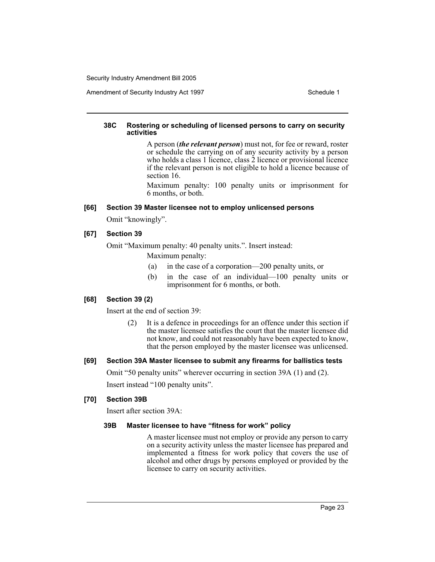Amendment of Security Industry Act 1997 **Schedule 1** Schedule 1

### **38C Rostering or scheduling of licensed persons to carry on security activities**

A person (*the relevant person*) must not, for fee or reward, roster or schedule the carrying on of any security activity by a person who holds a class 1 licence, class 2 licence or provisional licence if the relevant person is not eligible to hold a licence because of section 16.

Maximum penalty: 100 penalty units or imprisonment for 6 months, or both.

#### **[66] Section 39 Master licensee not to employ unlicensed persons**

Omit "knowingly".

## **[67] Section 39**

Omit "Maximum penalty: 40 penalty units.". Insert instead:

Maximum penalty:

- (a) in the case of a corporation—200 penalty units, or
- (b) in the case of an individual—100 penalty units or imprisonment for 6 months, or both.

## **[68] Section 39 (2)**

Insert at the end of section 39:

(2) It is a defence in proceedings for an offence under this section if the master licensee satisfies the court that the master licensee did not know, and could not reasonably have been expected to know, that the person employed by the master licensee was unlicensed.

## **[69] Section 39A Master licensee to submit any firearms for ballistics tests**

Omit "50 penalty units" wherever occurring in section 39A (1) and (2).

Insert instead "100 penalty units".

#### **[70] Section 39B**

Insert after section 39A:

## **39B Master licensee to have "fitness for work" policy**

A master licensee must not employ or provide any person to carry on a security activity unless the master licensee has prepared and implemented a fitness for work policy that covers the use of alcohol and other drugs by persons employed or provided by the licensee to carry on security activities.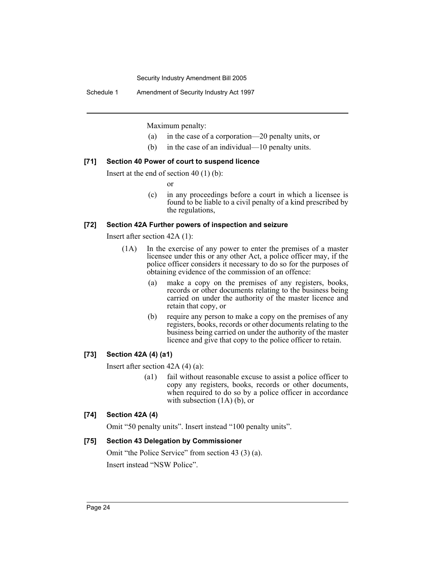Schedule 1 Amendment of Security Industry Act 1997

Maximum penalty:

- (a) in the case of a corporation—20 penalty units, or
- (b) in the case of an individual—10 penalty units.

## **[71] Section 40 Power of court to suspend licence**

Insert at the end of section 40 (1) (b):

or

(c) in any proceedings before a court in which a licensee is found to be liable to a civil penalty of a kind prescribed by the regulations,

## **[72] Section 42A Further powers of inspection and seizure**

Insert after section 42A (1):

- (1A) In the exercise of any power to enter the premises of a master licensee under this or any other Act, a police officer may, if the police officer considers it necessary to do so for the purposes of obtaining evidence of the commission of an offence:
	- (a) make a copy on the premises of any registers, books, records or other documents relating to the business being carried on under the authority of the master licence and retain that copy, or
	- (b) require any person to make a copy on the premises of any registers, books, records or other documents relating to the business being carried on under the authority of the master licence and give that copy to the police officer to retain.

## **[73] Section 42A (4) (a1)**

Insert after section 42A (4) (a):

(a1) fail without reasonable excuse to assist a police officer to copy any registers, books, records or other documents, when required to do so by a police officer in accordance with subsection  $(1A)$  (b), or

## **[74] Section 42A (4)**

Omit "50 penalty units". Insert instead "100 penalty units".

## **[75] Section 43 Delegation by Commissioner**

Omit "the Police Service" from section 43 (3) (a). Insert instead "NSW Police".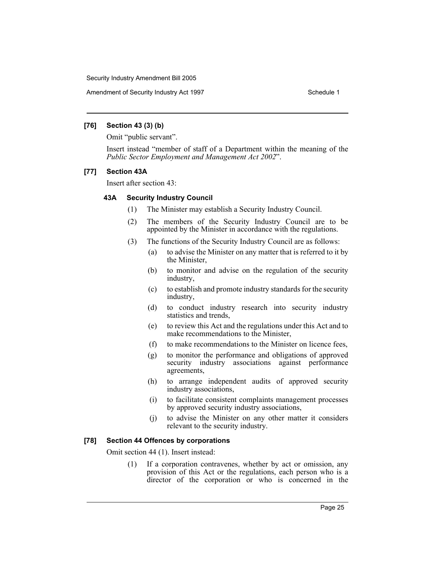Amendment of Security Industry Act 1997 **Schedule 1** Schedule 1

#### **[76] Section 43 (3) (b)**

Omit "public servant".

Insert instead "member of staff of a Department within the meaning of the *Public Sector Employment and Management Act 2002*".

## **[77] Section 43A**

Insert after section 43:

## **43A Security Industry Council**

- (1) The Minister may establish a Security Industry Council.
- (2) The members of the Security Industry Council are to be appointed by the Minister in accordance with the regulations.
- (3) The functions of the Security Industry Council are as follows:
	- (a) to advise the Minister on any matter that is referred to it by the Minister,
	- (b) to monitor and advise on the regulation of the security industry,
	- (c) to establish and promote industry standards for the security industry,
	- (d) to conduct industry research into security industry statistics and trends,
	- (e) to review this Act and the regulations under this Act and to make recommendations to the Minister,
	- (f) to make recommendations to the Minister on licence fees,
	- (g) to monitor the performance and obligations of approved security industry associations against performance agreements,
	- (h) to arrange independent audits of approved security industry associations,
	- (i) to facilitate consistent complaints management processes by approved security industry associations,
	- (j) to advise the Minister on any other matter it considers relevant to the security industry.

#### **[78] Section 44 Offences by corporations**

Omit section 44 (1). Insert instead:

(1) If a corporation contravenes, whether by act or omission, any provision of this Act or the regulations, each person who is a director of the corporation or who is concerned in the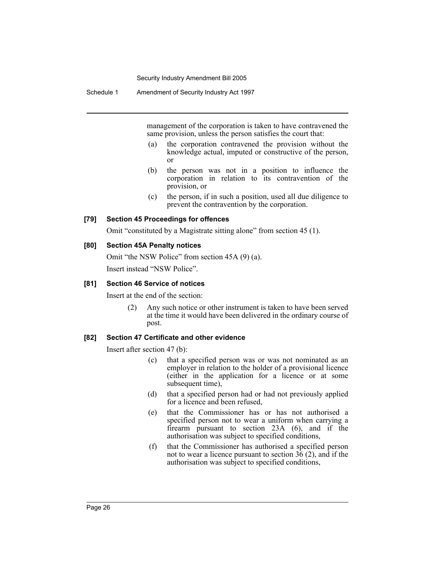Schedule 1 Amendment of Security Industry Act 1997

management of the corporation is taken to have contravened the same provision, unless the person satisfies the court that:

- (a) the corporation contravened the provision without the knowledge actual, imputed or constructive of the person, or
- (b) the person was not in a position to influence the corporation in relation to its contravention of the provision, or
- (c) the person, if in such a position, used all due diligence to prevent the contravention by the corporation.

#### **[79] Section 45 Proceedings for offences**

Omit "constituted by a Magistrate sitting alone" from section 45 (1).

## **[80] Section 45A Penalty notices**

Omit "the NSW Police" from section 45A (9) (a). Insert instead "NSW Police".

### **[81] Section 46 Service of notices**

Insert at the end of the section:

(2) Any such notice or other instrument is taken to have been served at the time it would have been delivered in the ordinary course of post.

#### **[82] Section 47 Certificate and other evidence**

Insert after section 47 (b):

- (c) that a specified person was or was not nominated as an employer in relation to the holder of a provisional licence (either in the application for a licence or at some subsequent time),
- (d) that a specified person had or had not previously applied for a licence and been refused,
- (e) that the Commissioner has or has not authorised a specified person not to wear a uniform when carrying a firearm pursuant to section 23A (6), and if the authorisation was subject to specified conditions,
- (f) that the Commissioner has authorised a specified person not to wear a licence pursuant to section  $3\hat{6}$  (2), and if the authorisation was subject to specified conditions,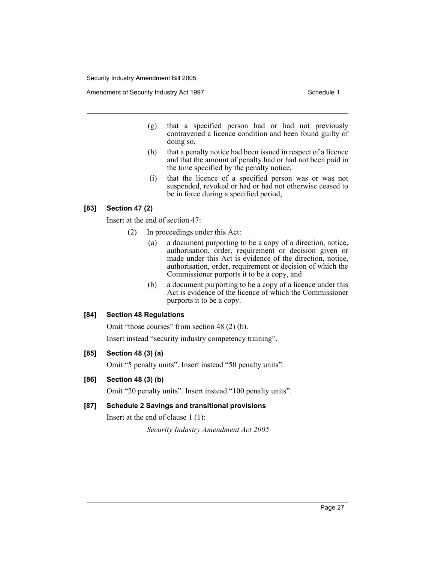Amendment of Security Industry Act 1997 **Schedule 1** Schedule 1

- (g) that a specified person had or had not previously contravened a licence condition and been found guilty of doing so,
- (h) that a penalty notice had been issued in respect of a licence and that the amount of penalty had or had not been paid in the time specified by the penalty notice,
- (i) that the licence of a specified person was or was not suspended, revoked or had or had not otherwise ceased to be in force during a specified period,

## **[83] Section 47 (2)**

Insert at the end of section 47:

- (2) In proceedings under this Act:
	- (a) a document purporting to be a copy of a direction, notice, authorisation, order, requirement or decision given or made under this Act is evidence of the direction, notice, authorisation, order, requirement or decision of which the Commissioner purports it to be a copy, and
	- (b) a document purporting to be a copy of a licence under this Act is evidence of the licence of which the Commissioner purports it to be a copy.

#### **[84] Section 48 Regulations**

Omit "those courses" from section 48 (2) (b).

Insert instead "security industry competency training".

## **[85] Section 48 (3) (a)**

Omit "5 penalty units". Insert instead "50 penalty units".

## **[86] Section 48 (3) (b)**

Omit "20 penalty units". Insert instead "100 penalty units".

## **[87] Schedule 2 Savings and transitional provisions**

Insert at the end of clause 1 (1):

*Security Industry Amendment Act 2005*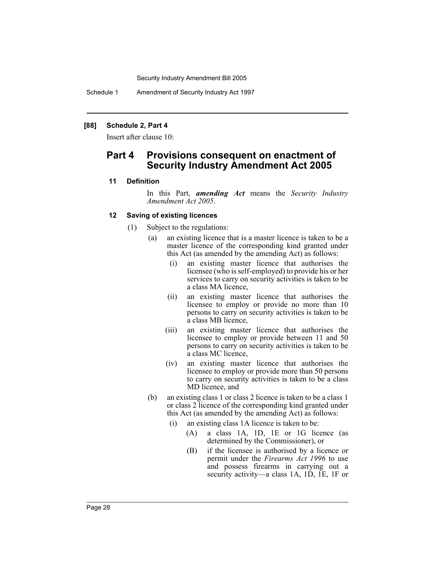Schedule 1 Amendment of Security Industry Act 1997

## **[88] Schedule 2, Part 4**

Insert after clause 10:

## **Part 4 Provisions consequent on enactment of Security Industry Amendment Act 2005**

#### **11 Definition**

In this Part, *amending Act* means the *Security Industry Amendment Act 2005*.

#### **12 Saving of existing licences**

- (1) Subject to the regulations:
	- (a) an existing licence that is a master licence is taken to be a master licence of the corresponding kind granted under this Act (as amended by the amending Act) as follows:
		- (i) an existing master licence that authorises the licensee (who is self-employed) to provide his or her services to carry on security activities is taken to be a class MA licence,
		- (ii) an existing master licence that authorises the licensee to employ or provide no more than 10 persons to carry on security activities is taken to be a class MB licence,
		- (iii) an existing master licence that authorises the licensee to employ or provide between 11 and 50 persons to carry on security activities is taken to be a class MC licence,
		- (iv) an existing master licence that authorises the licensee to employ or provide more than 50 persons to carry on security activities is taken to be a class MD licence, and
	- (b) an existing class 1 or class 2 licence is taken to be a class 1 or class 2 licence of the corresponding kind granted under this Act (as amended by the amending Act) as follows:
		- (i) an existing class 1A licence is taken to be:
			- (A) a class 1A, 1D, 1E or 1G licence (as determined by the Commissioner), or
			- (B) if the licensee is authorised by a licence or permit under the *Firearms Act 1996* to use and possess firearms in carrying out a security activity—a class 1A, 1D, 1E, 1F or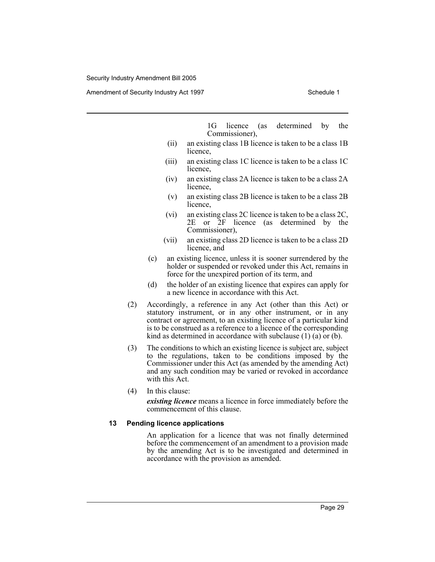Amendment of Security Industry Act 1997 **Schedule 1** Schedule 1

1G licence (as determined by the Commissioner),

- (ii) an existing class 1B licence is taken to be a class 1B licence,
- (iii) an existing class 1C licence is taken to be a class 1C licence,
- (iv) an existing class 2A licence is taken to be a class 2A licence,
- (v) an existing class 2B licence is taken to be a class 2B licence,
- (vi) an existing class 2C licence is taken to be a class 2C, 2E or 2F licence (as determined by the Commissioner),
- (vii) an existing class 2D licence is taken to be a class 2D licence, and
- (c) an existing licence, unless it is sooner surrendered by the holder or suspended or revoked under this Act, remains in force for the unexpired portion of its term, and
- (d) the holder of an existing licence that expires can apply for a new licence in accordance with this Act.
- (2) Accordingly, a reference in any Act (other than this Act) or statutory instrument, or in any other instrument, or in any contract or agreement, to an existing licence of a particular kind is to be construed as a reference to a licence of the corresponding kind as determined in accordance with subclause (1) (a) or (b).
- (3) The conditions to which an existing licence is subject are, subject to the regulations, taken to be conditions imposed by the Commissioner under this Act (as amended by the amending Act) and any such condition may be varied or revoked in accordance with this Act.
- (4) In this clause:

*existing licence* means a licence in force immediately before the commencement of this clause.

#### **13 Pending licence applications**

An application for a licence that was not finally determined before the commencement of an amendment to a provision made by the amending Act is to be investigated and determined in accordance with the provision as amended.